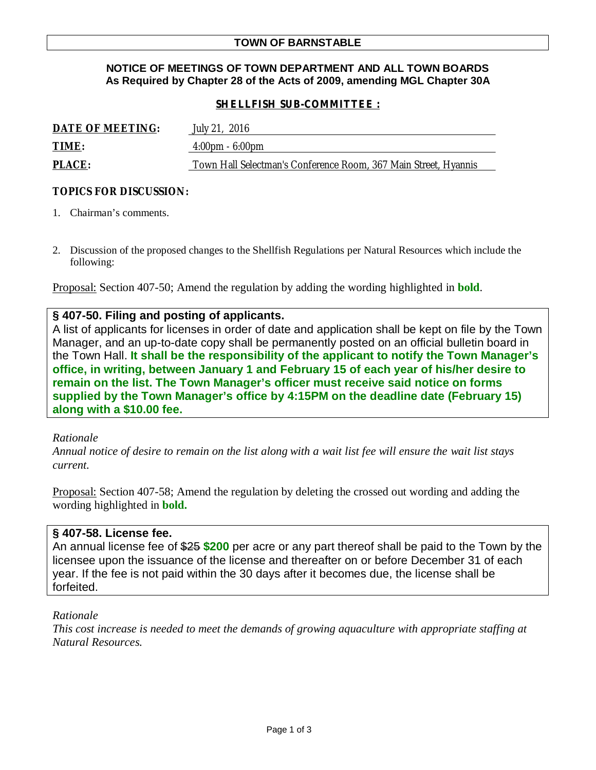### **NOTICE OF MEETINGS OF TOWN DEPARTMENT AND ALL TOWN BOARDS As Required by Chapter 28 of the Acts of 2009, amending MGL Chapter 30A**

### *SHELLFISH SUB-COMMITTEE :*

| <b>DATE OF MEETING:</b> | July 21, 2016                                                   |
|-------------------------|-----------------------------------------------------------------|
| <b>TIME:</b>            | $4:00 \text{pm} - 6:00 \text{pm}$                               |
| <b>PLACE:</b>           | Town Hall Selectman's Conference Room, 367 Main Street, Hyannis |

### **TOPICS FOR DISCUSSION:**

- 1. Chairman's comments.
- 2. Discussion of the proposed changes to the Shellfish Regulations per Natural Resources which include the following:

Proposal: Section 407-50; Amend the regulation by adding the wording highlighted in **bold**.

### **§ 407-50. Filing and posting of applicants.**

A list of applicants for licenses in order of date and application shall be kept on file by the Town Manager, and an up-to-date copy shall be permanently posted on an official bulletin board in the Town Hall. **It shall be the responsibility of the applicant to notify the Town Manager's office, in writing, between January 1 and February 15 of each year of his/her desire to remain on the list. The Town Manager's officer must receive said notice on forms supplied by the Town Manager's office by 4:15PM on the deadline date (February 15) along with a \$10.00 fee.**

#### *Rationale*

*Annual notice of desire to remain on the list along with a wait list fee will ensure the wait list stays current.*

Proposal: Section 407-58; Amend the regulation by deleting the crossed out wording and adding the wording highlighted in **bold.**

#### **§ 407-58. License fee.**

An annual license fee of \$25 **\$200** per acre or any part thereof shall be paid to the Town by the licensee upon the issuance of the license and thereafter on or before December 31 of each year. If the fee is not paid within the 30 days after it becomes due, the license shall be forfeited.

#### *Rationale*

*This cost increase is needed to meet the demands of growing aquaculture with appropriate staffing at Natural Resources.*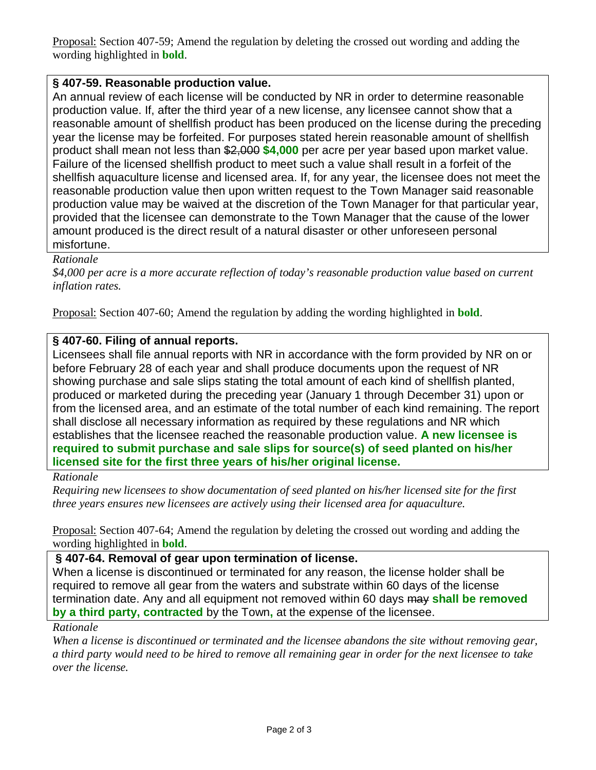Proposal: Section 407-59; Amend the regulation by deleting the crossed out wording and adding the wording highlighted in **bold**.

# **§ 407-59. Reasonable production value.**

An annual review of each license will be conducted by NR in order to determine reasonable production value. If, after the third year of a new license, any licensee cannot show that a reasonable amount of shellfish product has been produced on the license during the preceding year the license may be forfeited. For purposes stated herein reasonable amount of shellfish product shall mean not less than \$2,000 **\$4,000** per acre per year based upon market value. Failure of the licensed shellfish product to meet such a value shall result in a forfeit of the shellfish aquaculture license and licensed area. If, for any year, the licensee does not meet the reasonable production value then upon written request to the Town Manager said reasonable production value may be waived at the discretion of the Town Manager for that particular year, provided that the licensee can demonstrate to the Town Manager that the cause of the lower amount produced is the direct result of a natural disaster or other unforeseen personal misfortune.

## *Rationale*

*\$4,000 per acre is a more accurate reflection of today's reasonable production value based on current inflation rates.*

Proposal: Section 407-60; Amend the regulation by adding the wording highlighted in **bold**.

## **§ 407-60. Filing of annual reports.**

Licensees shall file annual reports with NR in accordance with the form provided by NR on or before February 28 of each year and shall produce documents upon the request of NR showing purchase and sale slips stating the total amount of each kind of shellfish planted, produced or marketed during the preceding year (January 1 through December 31) upon or from the licensed area, and an estimate of the total number of each kind remaining. The report shall disclose all necessary information as required by these regulations and NR which establishes that the licensee reached the reasonable production value. **A new licensee is required to submit purchase and sale slips for source(s) of seed planted on his/her licensed site for the first three years of his/her original license.**

## *Rationale*

*Requiring new licensees to show documentation of seed planted on his/her licensed site for the first three years ensures new licensees are actively using their licensed area for aquaculture.*

Proposal: Section 407-64; Amend the regulation by deleting the crossed out wording and adding the wording highlighted in **bold**.

## **§ 407-64. Removal of gear upon termination of license.**

When a license is discontinued or terminated for any reason, the license holder shall be required to remove all gear from the waters and substrate within 60 days of the license termination date. Any and all equipment not removed within 60 days may **shall be removed by a third party, contracted** by the Town**,** at the expense of the licensee.

## *Rationale*

*When a license is discontinued or terminated and the licensee abandons the site without removing gear, a third party would need to be hired to remove all remaining gear in order for the next licensee to take over the license.*